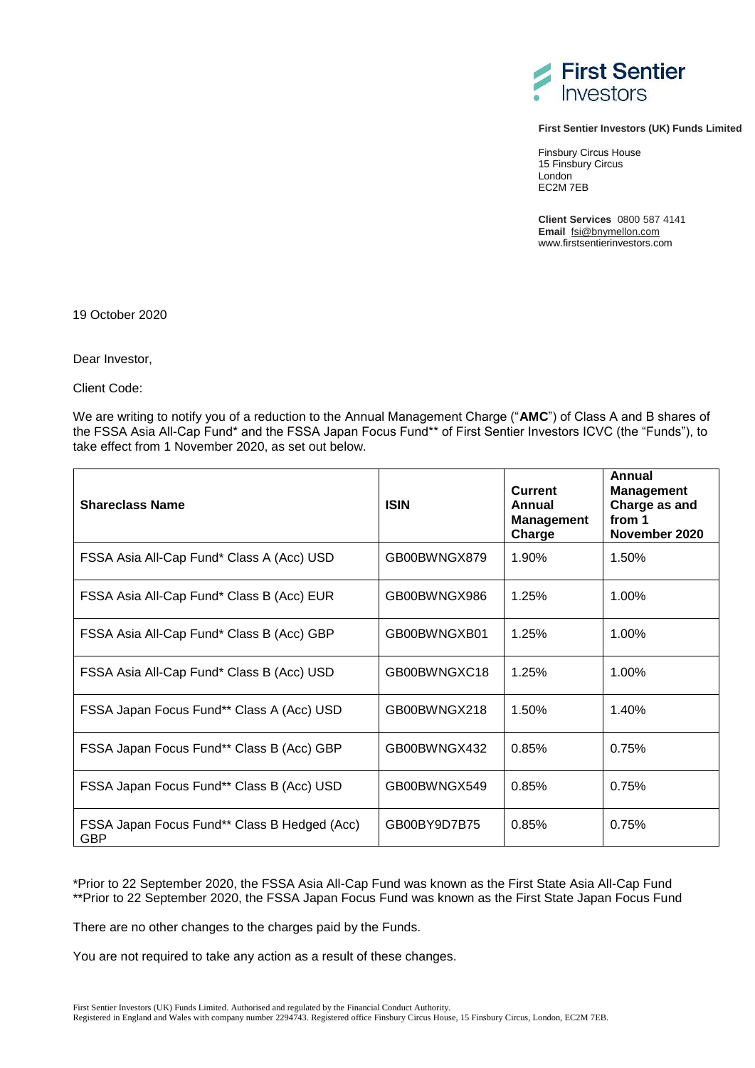

## **First Sentier Investors (UK) Funds Limited**

Finsbury Circus House 15 Finsbury Circus London EC2M 7EB

**Client Services** 0800 587 4141 **Email** [fsi@bnymellon.com](mailto:fsi@bnymellon.com) www.firstsentierinvestors.com

19 October 2020

Dear Investor,

Client Code:

We are writing to notify you of a reduction to the Annual Management Charge ("**AMC**") of Class A and B shares of the FSSA Asia All-Cap Fund\* and the FSSA Japan Focus Fund\*\* of First Sentier Investors ICVC (the "Funds"), to take effect from 1 November 2020, as set out below.

| <b>Shareclass Name</b>                                     | <b>ISIN</b>  | <b>Current</b><br>Annual<br><b>Management</b><br>Charge | Annual<br><b>Management</b><br>Charge as and<br>from 1<br>November 2020 |
|------------------------------------------------------------|--------------|---------------------------------------------------------|-------------------------------------------------------------------------|
| FSSA Asia All-Cap Fund* Class A (Acc) USD                  | GB00BWNGX879 | 1.90%                                                   | 1.50%                                                                   |
| FSSA Asia All-Cap Fund* Class B (Acc) EUR                  | GB00BWNGX986 | 1.25%                                                   | 1.00%                                                                   |
| FSSA Asia All-Cap Fund* Class B (Acc) GBP                  | GB00BWNGXB01 | 1.25%                                                   | 1.00%                                                                   |
| FSSA Asia All-Cap Fund* Class B (Acc) USD                  | GB00BWNGXC18 | 1.25%                                                   | 1.00%                                                                   |
| FSSA Japan Focus Fund** Class A (Acc) USD                  | GB00BWNGX218 | 1.50%                                                   | 1.40%                                                                   |
| FSSA Japan Focus Fund** Class B (Acc) GBP                  | GB00BWNGX432 | 0.85%                                                   | 0.75%                                                                   |
| FSSA Japan Focus Fund** Class B (Acc) USD                  | GB00BWNGX549 | 0.85%                                                   | 0.75%                                                                   |
| FSSA Japan Focus Fund** Class B Hedged (Acc)<br><b>GBP</b> | GB00BY9D7B75 | 0.85%                                                   | 0.75%                                                                   |

\*Prior to 22 September 2020, the FSSA Asia All-Cap Fund was known as the First State Asia All-Cap Fund \*\*Prior to 22 September 2020, the FSSA Japan Focus Fund was known as the First State Japan Focus Fund

There are no other changes to the charges paid by the Funds.

You are not required to take any action as a result of these changes.